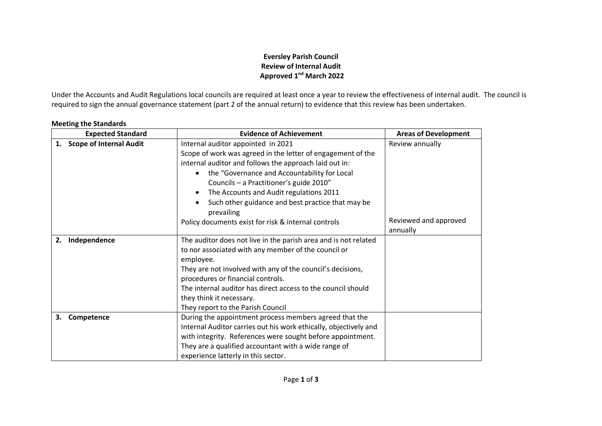## **Eversley Parish Council Review of Internal Audit Approved 1 nd March 2022**

Under the Accounts and Audit Regulations local councils are required at least once a year to review the effectiveness of internal audit. The council is required to sign the annual governance statement (part 2 of the annual return) to evidence that this review has been undertaken.

|    | <b>Expected Standard</b>       | <b>Evidence of Achievement</b>                                                                                                                                                                                                                                                                                                                                                                              | <b>Areas of Development</b>       |
|----|--------------------------------|-------------------------------------------------------------------------------------------------------------------------------------------------------------------------------------------------------------------------------------------------------------------------------------------------------------------------------------------------------------------------------------------------------------|-----------------------------------|
| 1. | <b>Scope of Internal Audit</b> | Internal auditor appointed in 2021<br>Scope of work was agreed in the letter of engagement of the<br>internal auditor and follows the approach laid out in:<br>the "Governance and Accountability for Local<br>$\bullet$<br>Councils - a Practitioner's guide 2010"<br>The Accounts and Audit regulations 2011<br>$\bullet$<br>Such other guidance and best practice that may be<br>$\bullet$<br>prevailing | Review annually                   |
|    |                                | Policy documents exist for risk & internal controls                                                                                                                                                                                                                                                                                                                                                         | Reviewed and approved<br>annually |
| 2. | Independence                   | The auditor does not live in the parish area and is not related<br>to nor associated with any member of the council or<br>employee.<br>They are not involved with any of the council's decisions,<br>procedures or financial controls.<br>The internal auditor has direct access to the council should<br>they think it necessary.<br>They report to the Parish Council                                     |                                   |
| З. | Competence                     | During the appointment process members agreed that the<br>Internal Auditor carries out his work ethically, objectively and<br>with integrity. References were sought before appointment.<br>They are a qualified accountant with a wide range of<br>experience latterly in this sector.                                                                                                                     |                                   |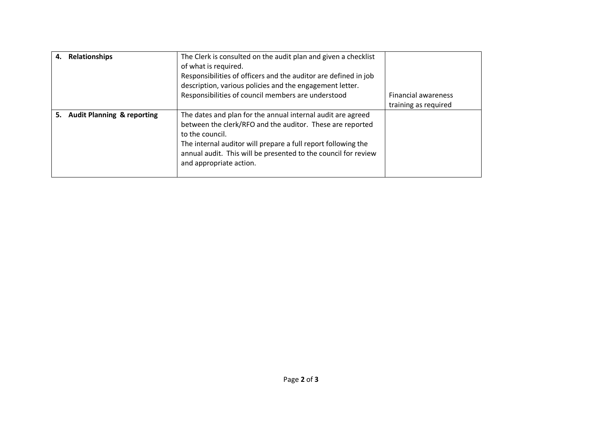| 4. | <b>Relationships</b>                  | The Clerk is consulted on the audit plan and given a checklist<br>of what is required.<br>Responsibilities of officers and the auditor are defined in job<br>description, various policies and the engagement letter.<br>Responsibilities of council members are understood                               | <b>Financial awareness</b><br>training as required |
|----|---------------------------------------|-----------------------------------------------------------------------------------------------------------------------------------------------------------------------------------------------------------------------------------------------------------------------------------------------------------|----------------------------------------------------|
| 5. | <b>Audit Planning &amp; reporting</b> | The dates and plan for the annual internal audit are agreed<br>between the clerk/RFO and the auditor. These are reported<br>to the council.<br>The internal auditor will prepare a full report following the<br>annual audit. This will be presented to the council for review<br>and appropriate action. |                                                    |